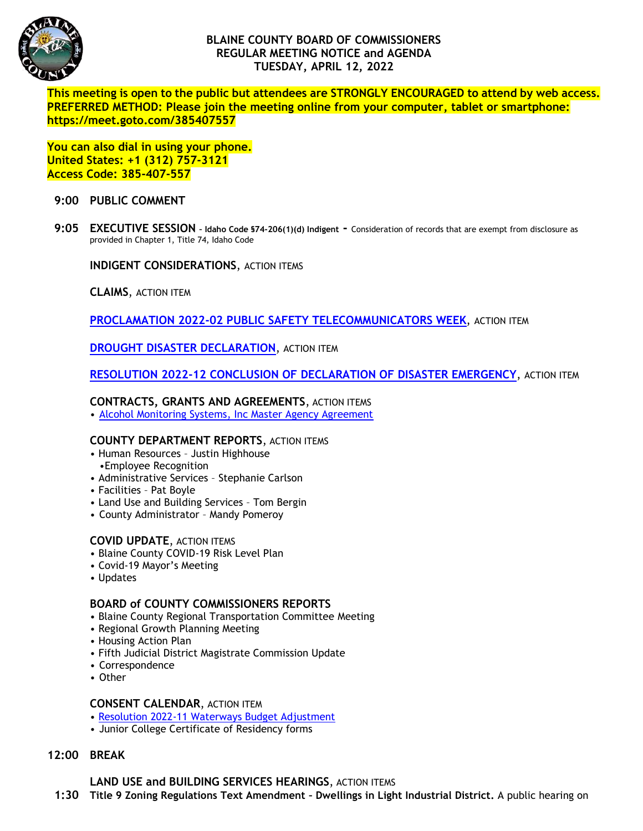

# **BLAINE COUNTY BOARD OF COMMISSIONERS REGULAR MEETING NOTICE and AGENDA TUESDAY, APRIL 12, 2022**

**This meeting is open to the public but attendees are STRONGLY ENCOURAGED to attend by web access. PREFERRED METHOD: Please join the meeting online from your computer, tablet or smartphone: https://meet.goto.com/385407557**

**You can also dial in using your phone. United States: +1 (312) 757-3121 Access Code: 385-407-557**

#### **9:00 PUBLIC COMMENT**

**9:05 EXECUTIVE SESSION – Idaho Code §74-206(1)(d) Indigent -** Consideration of records that are exempt from disclosure as provided in Chapter 1, Title 74, Idaho Code

**INDIGENT CONSIDERATIONS**, ACTION ITEMS

**CLAIMS**, ACTION ITEM

**PROCLAMATION 2022-02 [PUBLIC SAFETY TELECOMMUNICATORS WEEK](https://www.co.blaine.id.us/DocumentCenter/View/18399/Blaine-County-Emergency-Communications-Officer-Proclamation-2022-02)**, ACTION ITEM

**[DROUGHT DISASTER](https://www.co.blaine.id.us/DocumentCenter/View/18398/2022-Drought-Declaration) DECLARATION**, ACTION ITEM

**RESOLUTION 2022-12 [CONCLUSION OF DECLARATION OF DISASTER EMERGENCY](https://www.co.blaine.id.us/DocumentCenter/View/18400/Conclusion-of-Disaster-Declaration-Blaine-County)**, ACTION ITEM

#### **CONTRACTS, GRANTS AND AGREEMENTS**, ACTION ITEMS

• [Alcohol Monitoring Systems, Inc Master Agency Agreement](https://www.co.blaine.id.us/DocumentCenter/View/18402/Blaine-County-Probation_Master-Agency-Agreement_20220330_DRAFT_EG)

## **COUNTY DEPARTMENT REPORTS**, ACTION ITEMS

- Human Resources Justin Highhouse
- •Employee Recognition
- Administrative Services Stephanie Carlson
- Facilities Pat Boyle
- Land Use and Building Services Tom Bergin
- County Administrator Mandy Pomeroy

## **COVID UPDATE**, ACTION ITEMS

- Blaine County COVID-19 Risk Level Plan
- Covid-19 Mayor's Meeting
- Updates

## **BOARD of COUNTY COMMISSIONERS REPORTS**

- Blaine County Regional Transportation Committee Meeting
- Regional Growth Planning Meeting
- Housing Action Plan
- Fifth Judicial District Magistrate Commission Update
- Correspondence
- Other

## **CONSENT CALENDAR**, ACTION ITEM

- [Resolution 2022-11 Waterways Budget Adjustment](https://www.co.blaine.id.us/DocumentCenter/View/18401/WaterwaysResApril2022)
- Junior College Certificate of Residency forms

# **12:00 BREAK**

**LAND USE and BUILDING SERVICES HEARINGS**, ACTION ITEMS

 **1:30 Title 9 Zoning Regulations Text Amendment – Dwellings in Light Industrial District.** A public hearing on